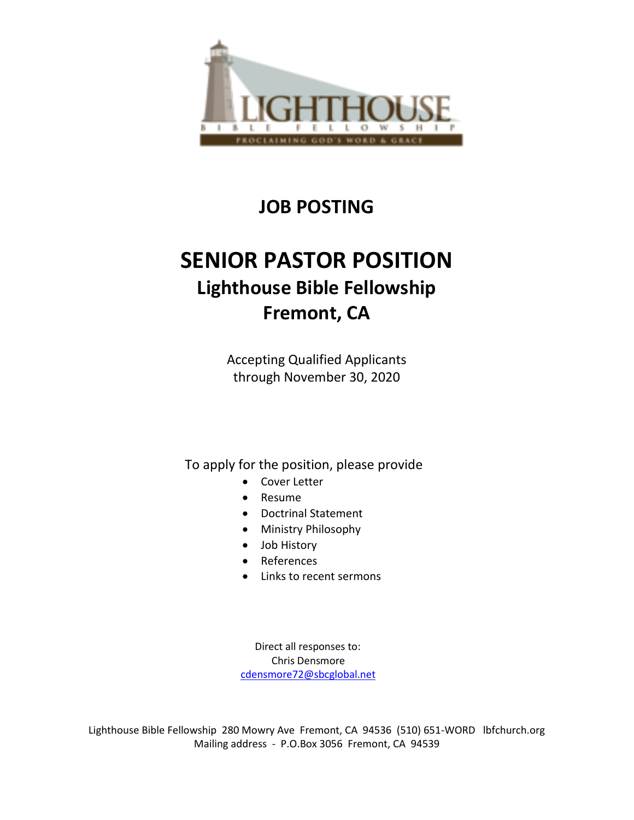

# **JOB POSTING**

# **SENIOR PASTOR POSITION Lighthouse Bible Fellowship Fremont, CA**

Accepting Qualified Applicants through November 30, 2020

To apply for the position, please provide

- Cover Letter
- Resume
- Doctrinal Statement
- Ministry Philosophy
- Job History
- References
- Links to recent sermons

 Direct all responses to: Chris Densmore [cdensmore72@sbcglobal.net](mailto:cdensmore72@sbcglobal.net)

Lighthouse Bible Fellowship 280 Mowry Ave Fremont, CA 94536 (510) 651-WORD lbfchurch.org Mailing address - P.O.Box 3056 Fremont, CA 94539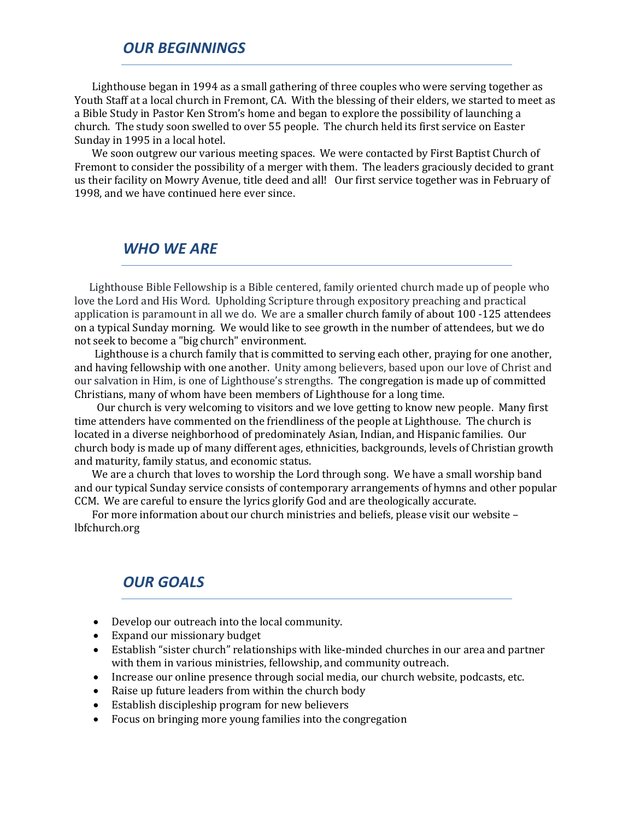#### *OUR BEGINNINGS*

 Lighthouse began in 1994 as a small gathering of three couples who were serving together as Youth Staff at a local church in Fremont, CA. With the blessing of their elders, we started to meet as a Bible Study in Pastor Ken Strom's home and began to explore the possibility of launching a church. The study soon swelled to over 55 people. The church held its first service on Easter Sunday in 1995 in a local hotel.

 We soon outgrew our various meeting spaces. We were contacted by First Baptist Church of Fremont to consider the possibility of a merger with them. The leaders graciously decided to grant us their facility on Mowry Avenue, title deed and all! Our first service together was in February of 1998, and we have continued here ever since.

#### *WHO WE ARE*

 Lighthouse Bible Fellowship is a Bible centered, family oriented church made up of people who love the Lord and His Word. Upholding Scripture through expository preaching and practical application is paramount in all we do. We are a smaller church family of about 100 -125 attendees on a typical Sunday morning. We would like to see growth in the number of attendees, but we do not seek to become a "big church" environment.

 Lighthouse is a church family that is committed to serving each other, praying for one another, and having fellowship with one another. Unity among believers, based upon our love of Christ and our salvation in Him, is one of Lighthouse's strengths. The congregation is made up of committed Christians, many of whom have been members of Lighthouse for a long time.

 Our church is very welcoming to visitors and we love getting to know new people. Many first time attenders have commented on the friendliness of the people at Lighthouse. The church is located in a diverse neighborhood of predominately Asian, Indian, and Hispanic families. Our church body is made up of many different ages, ethnicities, backgrounds, levels of Christian growth and maturity, family status, and economic status.

 We are a church that loves to worship the Lord through song. We have a small worship band and our typical Sunday service consists of contemporary arrangements of hymns and other popular CCM. We are careful to ensure the lyrics glorify God and are theologically accurate.

 For more information about our church ministries and beliefs, please visit our website – lbfchurch.org

#### *OUR GOALS*

- Develop our outreach into the local community.
- Expand our missionary budget
- Establish "sister church" relationships with like-minded churches in our area and partner with them in various ministries, fellowship, and community outreach.
- Increase our online presence through social media, our church website, podcasts, etc.
- Raise up future leaders from within the church body
- Establish discipleship program for new believers
- Focus on bringing more young families into the congregation